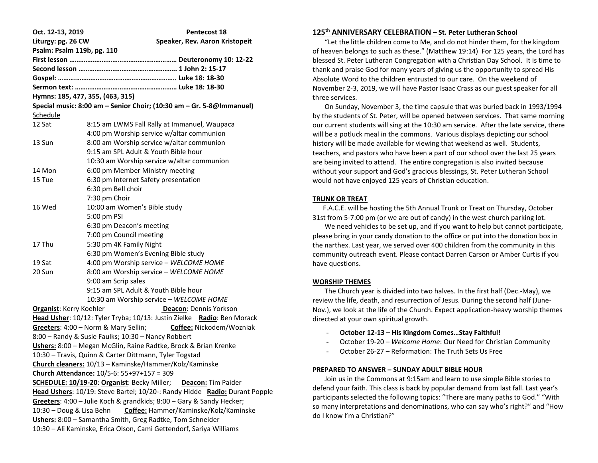| Oct. 12-13, 2019<br>Liturgy: pg. 26 CW<br>Psalm: Psalm 119b, pg. 110       | <b>Pentecost 18</b><br>Speaker, Rev. Aaron Kristopeit                  |
|----------------------------------------------------------------------------|------------------------------------------------------------------------|
|                                                                            |                                                                        |
|                                                                            |                                                                        |
|                                                                            |                                                                        |
|                                                                            |                                                                        |
|                                                                            | Hymns: 185, 477, 355, (463, 315)                                       |
|                                                                            | Special music: 8:00 am - Senior Choir; (10:30 am - Gr. 5-8@Immanuel)   |
| <b>Schedule</b>                                                            |                                                                        |
| 12 Sat                                                                     | 8:15 am LWMS Fall Rally at Immanuel, Waupaca                           |
|                                                                            | 4:00 pm Worship service w/altar communion                              |
| 13 Sun                                                                     | 8:00 am Worship service w/altar communion                              |
|                                                                            | 9:15 am SPL Adult & Youth Bible hour                                   |
|                                                                            | 10:30 am Worship service w/altar communion                             |
| 14 Mon                                                                     | 6:00 pm Member Ministry meeting                                        |
| 15 Tue                                                                     | 6:30 pm Internet Safety presentation                                   |
|                                                                            | 6:30 pm Bell choir                                                     |
|                                                                            | 7:30 pm Choir                                                          |
| 16 Wed                                                                     | 10:00 am Women's Bible study                                           |
|                                                                            | 5:00 pm PSI                                                            |
|                                                                            | 6:30 pm Deacon's meeting                                               |
|                                                                            | 7:00 pm Council meeting                                                |
| 17 Thu                                                                     | 5:30 pm 4K Family Night                                                |
|                                                                            | 6:30 pm Women's Evening Bible study                                    |
| 19 Sat                                                                     | 4:00 pm Worship service - WELCOME HOME                                 |
| 20 Sun                                                                     | 8:00 am Worship service - WELCOME HOME                                 |
|                                                                            | 9:00 am Scrip sales                                                    |
|                                                                            | 9:15 am SPL Adult & Youth Bible hour                                   |
|                                                                            | 10:30 am Worship service - WELCOME HOME                                |
| <b>Organist: Kerry Koehler</b>                                             | Deacon: Dennis Yorkson                                                 |
|                                                                            | Head Usher: 10/12: Tyler Tryba; 10/13: Justin Zielke Radio: Ben Morack |
|                                                                            | Greeters: 4:00 - Norm & Mary Sellin;<br>Coffee: Nickodem/Wozniak       |
|                                                                            | 8:00 - Randy & Susie Faulks; 10:30 - Nancy Robbert                     |
|                                                                            | Ushers: 8:00 - Megan McGlin, Raine Radtke, Brock & Brian Krenke        |
|                                                                            | 10:30 - Travis, Quinn & Carter Dittmann, Tyler Togstad                 |
|                                                                            | Church cleaners: 10/13 - Kaminske/Hammer/Kolz/Kaminske                 |
|                                                                            | Church Attendance: 10/5-6: 55+97+157 = 309                             |
| SCHEDULE: 10/19-20: Organist: Becky Miller;<br>Deacon: Tim Paider          |                                                                        |
| Head Ushers: 10/19: Steve Bartel; 10/20-: Randy Hidde Radio: Durant Popple |                                                                        |
|                                                                            | Greeters: 4:00 - Julie Koch & grandkids; 8:00 - Gary & Sandy Hecker;   |
| 10:30 - Doug & Lisa Behn                                                   | Coffee: Hammer/Kaminske/Kolz/Kaminske                                  |
| Ushers: 8:00 - Samantha Smith, Greg Radtke, Tom Schneider                  |                                                                        |
|                                                                            | 10:30 - Ali Kaminske, Erica Olson, Cami Gettendorf, Sariya Williams    |
|                                                                            |                                                                        |

# **125th ANNIVERSARY CELEBRATION – St. Peter Lutheran School**

 "Let the little children come to Me, and do not hinder them, for the kingdom of heaven belongs to such as these." (Matthew 19:14) For 125 years, the Lord has blessed St. Peter Lutheran Congregation with a Christian Day School. It is time to thank and praise God for many years of giving us the opportunity to spread His Absolute Word to the children entrusted to our care. On the weekend of November 2-3, 2019, we will have Pastor Isaac Crass as our guest speaker for all three services.

 On Sunday, November 3, the time capsule that was buried back in 1993/1994 by the students of St. Peter, will be opened between services. That same morning our current students will sing at the 10:30 am service. After the late service, there will be a potluck meal in the commons. Various displays depicting our school history will be made available for viewing that weekend as well. Students, teachers, and pastors who have been a part of our school over the last 25 years are being invited to attend. The entire congregation is also invited because without your support and God's gracious blessings, St. Peter Lutheran School would not have enjoyed 125 years of Christian education.

## **TRUNK OR TREAT**

 F.A.C.E. will be hosting the 5th Annual Trunk or Treat on Thursday, October 31st from 5-7:00 pm (or we are out of candy) in the west church parking lot.

 We need vehicles to be set up, and if you want to help but cannot participate, please bring in your candy donation to the office or put into the donation box in the narthex. Last year, we served over 400 children from the community in this community outreach event. Please contact Darren Carson or Amber Curtis if you have questions.

#### **WORSHIP THEMES**

 The Church year is divided into two halves. In the first half (Dec.-May), we review the life, death, and resurrection of Jesus. During the second half (June-Nov.), we look at the life of the Church. Expect application-heavy worship themes directed at your own spiritual growth.

- **October 12-13 – His Kingdom Comes…Stay Faithful!**
- October 19-20 *Welcome Home*: Our Need for Christian Community
- October 26-27 Reformation: The Truth Sets Us Free

#### **PREPARED TO ANSWER – SUNDAY ADULT BIBLE HOUR**

 Join us in the Commons at 9:15am and learn to use simple Bible stories to defend your faith. This class is back by popular demand from last fall. Last year's participants selected the following topics: "There are many paths to God." "With so many interpretations and denominations, who can say who's right?" and "How do I know I'm a Christian?"